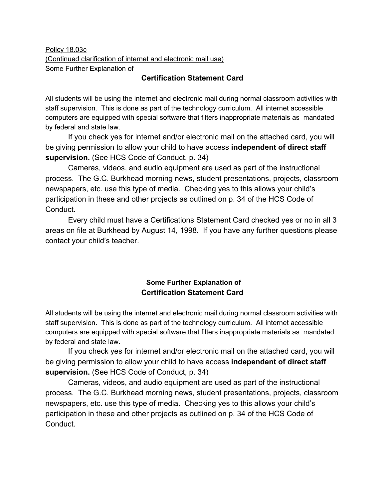Policy 18.03c (Continued clarification of internet and electronic mail use) Some Further Explanation of

## **Certification Statement Card**

All students will be using the internet and electronic mail during normal classroom activities with staff supervision. This is done as part of the technology curriculum. All internet accessible computers are equipped with special software that filters inappropriate materials as mandated by federal and state law.

If you check yes for internet and/or electronic mail on the attached card, you will be giving permission to allow your child to have access **independent of direct staff supervision.** (See HCS Code of Conduct, p. 34)

Cameras, videos, and audio equipment are used as part of the instructional process. The G.C. Burkhead morning news, student presentations, projects, classroom newspapers, etc. use this type of media. Checking yes to this allows your child's participation in these and other projects as outlined on p. 34 of the HCS Code of Conduct.

Every child must have a Certifications Statement Card checked yes or no in all 3 areas on file at Burkhead by August 14, 1998. If you have any further questions please contact your child's teacher.

## **Some Further Explanation of Certification Statement Card**

All students will be using the internet and electronic mail during normal classroom activities with staff supervision. This is done as part of the technology curriculum. All internet accessible computers are equipped with special software that filters inappropriate materials as mandated by federal and state law.

If you check yes for internet and/or electronic mail on the attached card, you will be giving permission to allow your child to have access **independent of direct staff supervision.** (See HCS Code of Conduct, p. 34)

Cameras, videos, and audio equipment are used as part of the instructional process. The G.C. Burkhead morning news, student presentations, projects, classroom newspapers, etc. use this type of media. Checking yes to this allows your child's participation in these and other projects as outlined on p. 34 of the HCS Code of Conduct.